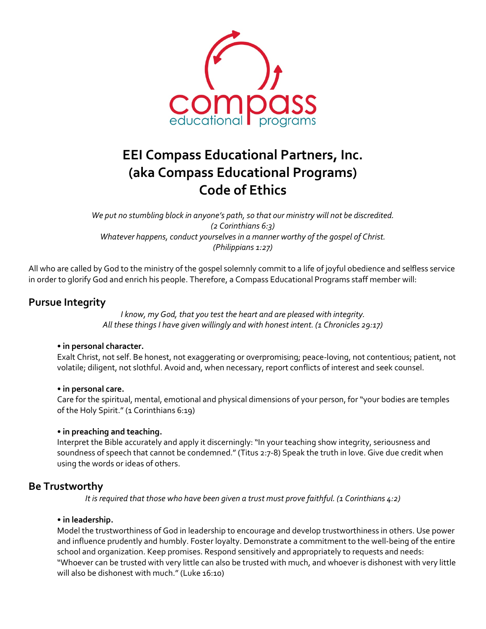

# **EEI Compass Educational Partners, Inc. (aka Compass Educational Programs) Code of Ethics**

*We put no stumbling block in anyone's path, so that our ministry will not be discredited. (2 Corinthians 6:3) Whatever happens, conduct yourselves in a manner worthy of the gospel of Christ. (Philippians 1:27)*

All who are called by God to the ministry of the gospel solemnly commit to a life of joyful obedience and selfless service in order to glorify God and enrich his people. Therefore, a Compass Educational Programs staff member will:

# **Pursue Integrity**

*I know, my God, that you test the heart and are pleased with integrity. All these things I have given willingly and with honest intent. (1 Chronicles 29:17)* 

## **• in personal character.**

Exalt Christ, not self. Be honest, not exaggerating or overpromising; peace-loving, not contentious; patient, not volatile; diligent, not slothful. Avoid and, when necessary, report conflicts of interest and seek counsel.

## **• in personal care.**

Care for the spiritual, mental, emotional and physical dimensions of your person, for "your bodies are temples of the Holy Spirit." (1 Corinthians 6:19)

## **• in preaching and teaching.**

Interpret the Bible accurately and apply it discerningly: "In your teaching show integrity, seriousness and soundness of speech that cannot be condemned." (Titus 2:7-8) Speak the truth in love. Give due credit when using the words or ideas of others.

# **Be Trustworthy**

*It is required that those who have been given a trust must prove faithful. (1 Corinthians 4:2)* 

#### **• in leadership.**

Model the trustworthiness of God in leadership to encourage and develop trustworthiness in others. Use power and influence prudently and humbly. Foster loyalty. Demonstrate a commitment to the well-being of the entire school and organization. Keep promises. Respond sensitively and appropriately to requests and needs: "Whoever can be trusted with very little can also be trusted with much, and whoever is dishonest with very little will also be dishonest with much." (Luke 16:10)